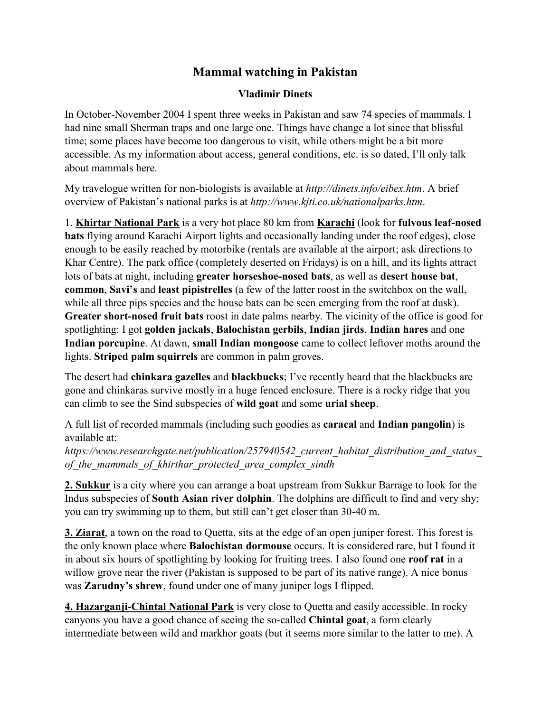## **Mammal watching in Pakistan**

## **Vladimir Dinets**

In October-November 2004 I spent three weeks in Pakistan and saw 74 species of mammals. I had nine small Sherman traps and one large one. Things have change a lot since that blissful time; some places have become too dangerous to visit, while others might be a bit more accessible. As my information about access, general conditions, etc. is so dated, I'll only talk about mammals here.

My travelogue written for non-biologists is available at *http://dinets.info/eibex.htm*. A brief overview of Pakistan's national parks is at *http://www.kjti.co.uk/nationalparks.htm*.

1. **Khirtar National Park** is a very hot place 80 km from **Karachi** (look for **fulvous leaf-nosed bats** flying around Karachi Airport lights and occasionally landing under the roof edges), close enough to be easily reached by motorbike (rentals are available at the airport; ask directions to Khar Centre). The park office (completely deserted on Fridays) is on a hill, and its lights attract lots of bats at night, including **greater horseshoe-nosed bats**, as well as **desert house bat**, **common**, **Savi's** and **least pipistrelles** (a few of the latter roost in the switchbox on the wall, while all three pips species and the house bats can be seen emerging from the roof at dusk). **Greater short-nosed fruit bats** roost in date palms nearby. The vicinity of the office is good for spotlighting: I got **golden jackals**, **Balochistan gerbils**, **Indian jirds**, **Indian hares** and one **Indian porcupine**. At dawn, **small Indian mongoose** came to collect leftover moths around the lights. **Striped palm squirrels** are common in palm groves.

The desert had **chinkara gazelles** and **blackbucks**; I've recently heard that the blackbucks are gone and chinkaras survive mostly in a huge fenced enclosure. There is a rocky ridge that you can climb to see the Sind subspecies of **wild goat** and some **urial sheep**.

A full list of recorded mammals (including such goodies as **caracal** and **Indian pangolin**) is available at:

*https://www.researchgate.net/publication/257940542\_current\_habitat\_distribution\_and\_status\_ of\_the\_mammals\_of\_khirthar\_protected\_area\_complex\_sindh*

**2. Sukkur** is a city where you can arrange a boat upstream from Sukkur Barrage to look for the Indus subspecies of **South Asian river dolphin**. The dolphins are difficult to find and very shy; you can try swimming up to them, but still can't get closer than 30-40 m.

**3. Ziarat**, a town on the road to Quetta, sits at the edge of an open juniper forest. This forest is the only known place where **Balochistan dormouse** occurs. It is considered rare, but I found it in about six hours of spotlighting by looking for fruiting trees. I also found one **roof rat** in a willow grove near the river (Pakistan is supposed to be part of its native range). A nice bonus was **Zarudny's shrew**, found under one of many juniper logs I flipped.

**4. Hazarganji-Chintal National Park** is very close to Quetta and easily accessible. In rocky canyons you have a good chance of seeing the so-called **Chintal goat**, a form clearly intermediate between wild and markhor goats (but it seems more similar to the latter to me). A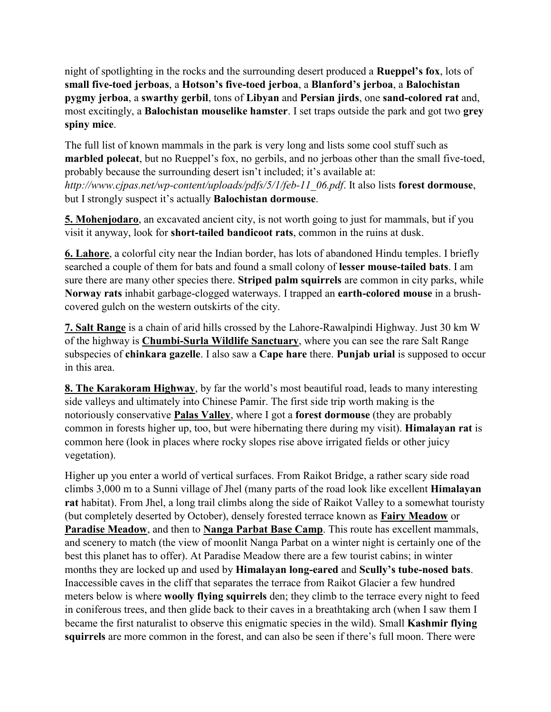night of spotlighting in the rocks and the surrounding desert produced a **Rueppel's fox**, lots of **small five-toed jerboas**, a **Hotson's five-toed jerboa**, a **Blanford's jerboa**, a **Balochistan pygmy jerboa**, a **swarthy gerbil**, tons of **Libyan** and **Persian jirds**, one **sand-colored rat** and, most excitingly, a **Balochistan mouselike hamster**. I set traps outside the park and got two **grey spiny mice**.

The full list of known mammals in the park is very long and lists some cool stuff such as **marbled polecat**, but no Rueppel's fox, no gerbils, and no jerboas other than the small five-toed, probably because the surrounding desert isn't included; it's available at: *http://www.cjpas.net/wp-content/uploads/pdfs/5/1/feb-11\_06.pdf*. It also lists **forest dormouse**, but I strongly suspect it's actually **Balochistan dormouse**.

**5. Mohenjodaro**, an excavated ancient city, is not worth going to just for mammals, but if you visit it anyway, look for **short-tailed bandicoot rats**, common in the ruins at dusk.

**6. Lahore**, a colorful city near the Indian border, has lots of abandoned Hindu temples. I briefly searched a couple of them for bats and found a small colony of **lesser mouse-tailed bats**. I am sure there are many other species there. **Striped palm squirrels** are common in city parks, while **Norway rats** inhabit garbage-clogged waterways. I trapped an **earth-colored mouse** in a brushcovered gulch on the western outskirts of the city.

**7. Salt Range** is a chain of arid hills crossed by the Lahore-Rawalpindi Highway. Just 30 km W of the highway is **Chumbi-Surla Wildlife Sanctuary**, where you can see the rare Salt Range subspecies of **chinkara gazelle**. I also saw a **Cape hare** there. **Punjab urial** is supposed to occur in this area.

**8. The Karakoram Highway**, by far the world's most beautiful road, leads to many interesting side valleys and ultimately into Chinese Pamir. The first side trip worth making is the notoriously conservative **Palas Valley**, where I got a **forest dormouse** (they are probably common in forests higher up, too, but were hibernating there during my visit). **Himalayan rat** is common here (look in places where rocky slopes rise above irrigated fields or other juicy vegetation).

Higher up you enter a world of vertical surfaces. From Raikot Bridge, a rather scary side road climbs 3,000 m to a Sunni village of Jhel (many parts of the road look like excellent **Himalayan rat** habitat). From Jhel, a long trail climbs along the side of Raikot Valley to a somewhat touristy (but completely deserted by October), densely forested terrace known as **Fairy Meadow** or **Paradise Meadow**, and then to **Nanga Parbat Base Camp**. This route has excellent mammals, and scenery to match (the view of moonlit Nanga Parbat on a winter night is certainly one of the best this planet has to offer). At Paradise Meadow there are a few tourist cabins; in winter months they are locked up and used by **Himalayan long-eared** and **Scully's tube-nosed bats**. Inaccessible caves in the cliff that separates the terrace from Raikot Glacier a few hundred meters below is where **woolly flying squirrels** den; they climb to the terrace every night to feed in coniferous trees, and then glide back to their caves in a breathtaking arch (when I saw them I became the first naturalist to observe this enigmatic species in the wild). Small **Kashmir flying squirrels** are more common in the forest, and can also be seen if there's full moon. There were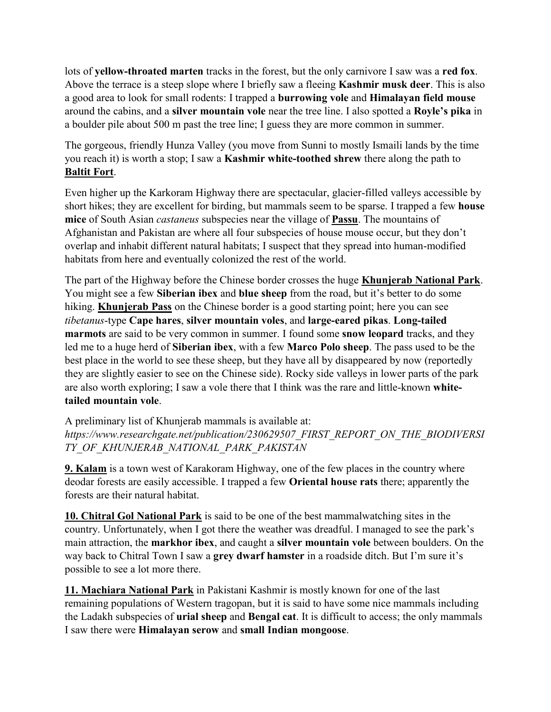lots of **yellow-throated marten** tracks in the forest, but the only carnivore I saw was a **red fox**. Above the terrace is a steep slope where I briefly saw a fleeing **Kashmir musk deer**. This is also a good area to look for small rodents: I trapped a **burrowing vole** and **Himalayan field mouse** around the cabins, and a **silver mountain vole** near the tree line. I also spotted a **Royle's pika** in a boulder pile about 500 m past the tree line; I guess they are more common in summer.

The gorgeous, friendly Hunza Valley (you move from Sunni to mostly Ismaili lands by the time you reach it) is worth a stop; I saw a **Kashmir white-toothed shrew** there along the path to **Baltit Fort**.

Even higher up the Karkoram Highway there are spectacular, glacier-filled valleys accessible by short hikes; they are excellent for birding, but mammals seem to be sparse. I trapped a few **house mice** of South Asian *castaneus* subspecies near the village of **Passu**. The mountains of Afghanistan and Pakistan are where all four subspecies of house mouse occur, but they don't overlap and inhabit different natural habitats; I suspect that they spread into human-modified habitats from here and eventually colonized the rest of the world.

The part of the Highway before the Chinese border crosses the huge **Khunjerab National Park**. You might see a few **Siberian ibex** and **blue sheep** from the road, but it's better to do some hiking. **Khunjerab Pass** on the Chinese border is a good starting point; here you can see *tibetanus*-type **Cape hares**, **silver mountain voles**, and **large-eared pikas**. **Long-tailed marmots** are said to be very common in summer. I found some **snow leopard** tracks, and they led me to a huge herd of **Siberian ibex**, with a few **Marco Polo sheep**. The pass used to be the best place in the world to see these sheep, but they have all by disappeared by now (reportedly they are slightly easier to see on the Chinese side). Rocky side valleys in lower parts of the park are also worth exploring; I saw a vole there that I think was the rare and little-known **whitetailed mountain vole**.

A preliminary list of Khunjerab mammals is available at: *https://www.researchgate.net/publication/230629507\_FIRST\_REPORT\_ON\_THE\_BIODIVERSI TY\_OF\_KHUNJERAB\_NATIONAL\_PARK\_PAKISTAN*

**9. Kalam** is a town west of Karakoram Highway, one of the few places in the country where deodar forests are easily accessible. I trapped a few **Oriental house rats** there; apparently the forests are their natural habitat.

**10. Chitral Gol National Park** is said to be one of the best mammalwatching sites in the country. Unfortunately, when I got there the weather was dreadful. I managed to see the park's main attraction, the **markhor ibex**, and caught a **silver mountain vole** between boulders. On the way back to Chitral Town I saw a **grey dwarf hamster** in a roadside ditch. But I'm sure it's possible to see a lot more there.

**11. Machiara National Park** in Pakistani Kashmir is mostly known for one of the last remaining populations of Western tragopan, but it is said to have some nice mammals including the Ladakh subspecies of **urial sheep** and **Bengal cat**. It is difficult to access; the only mammals I saw there were **Himalayan serow** and **small Indian mongoose**.